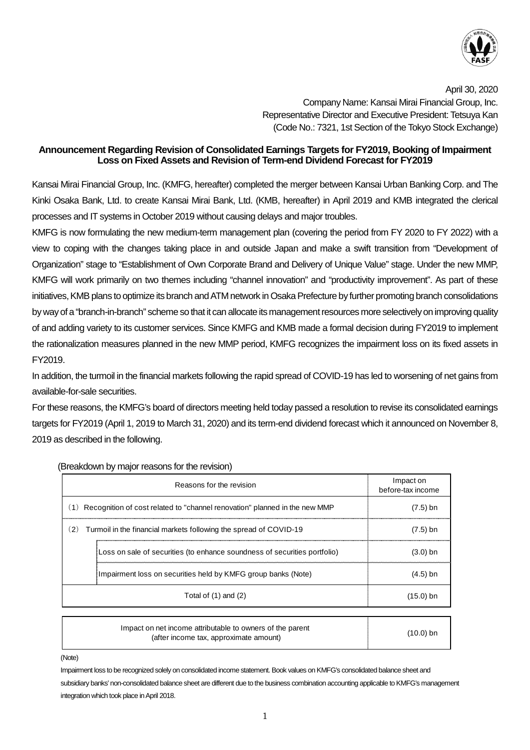

April 30, 2020 Company Name: Kansai Mirai Financial Group, Inc. Representative Director and Executive President: Tetsuya Kan (Code No.: 7321, 1st Section of the Tokyo Stock Exchange)

## **Announcement Regarding Revision of Consolidated Earnings Targets for FY2019, Booking of Impairment Loss on Fixed Assets and Revision of Term-end Dividend Forecast for FY2019**

Kansai Mirai Financial Group, Inc. (KMFG, hereafter) completed the merger between Kansai Urban Banking Corp. and The Kinki Osaka Bank, Ltd. to create Kansai Mirai Bank, Ltd. (KMB, hereafter) in April 2019 and KMB integrated the clerical processes and IT systems in October 2019 without causing delays and major troubles.

KMFG is now formulating the new medium-term management plan (covering the period from FY 2020 to FY 2022) with a view to coping with the changes taking place in and outside Japan and make a swift transition from "Development of Organization" stage to "Establishment of Own Corporate Brand and Delivery of Unique Value" stage. Under the new MMP, KMFG will work primarily on two themes including "channel innovation" and "productivity improvement". As part of these initiatives, KMB plans to optimize its branch and ATM network in Osaka Prefecture by further promoting branch consolidations by way of a "branch-in-branch" scheme so that it can allocate its management resources more selectively on improving quality of and adding variety to its customer services. Since KMFG and KMB made a formal decision during FY2019 to implement the rationalization measures planned in the new MMP period, KMFG recognizes the impairment loss on its fixed assets in FY2019.

In addition, the turmoil in the financial markets following the rapid spread of COVID-19 has led to worsening of net gains from available-for-sale securities.

For these reasons, the KMFG's board of directors meeting held today passed a resolution to revise its consolidated earnings targets for FY2019 (April 1, 2019 to March 31, 2020) and its term-end dividend forecast which it announced on November 8, 2019 as described in the following.

| Reasons for the revision                                                          | Impact on<br>before-tax income |
|-----------------------------------------------------------------------------------|--------------------------------|
| Recognition of cost related to "channel renovation" planned in the new MMP<br>(1) | $(7.5)$ bn                     |
| (2)<br>Turmoil in the financial markets following the spread of COVID-19          | $(7.5)$ bn                     |
| Loss on sale of securities (to enhance soundness of securities portfolio)         | $(3.0)$ bn                     |
| Impairment loss on securities held by KMFG group banks (Note)                     | $(4.5)$ bn                     |
| Total of $(1)$ and $(2)$                                                          | $(15.0)$ bn                    |

(Breakdown by major reasons for the revision)

| Impact on net income attributable to owners of the parent<br>(after income tax, approximate amount) | $(10.0)$ bn |
|-----------------------------------------------------------------------------------------------------|-------------|
|                                                                                                     |             |

(Note)

Impairment loss to be recognized solely on consolidated income statement. Book values on KMFG's consolidated balance sheet and subsidiary banks' non-consolidated balance sheet are different due to the business combination accounting applicable to KMFG's management integration which took place in April 2018.